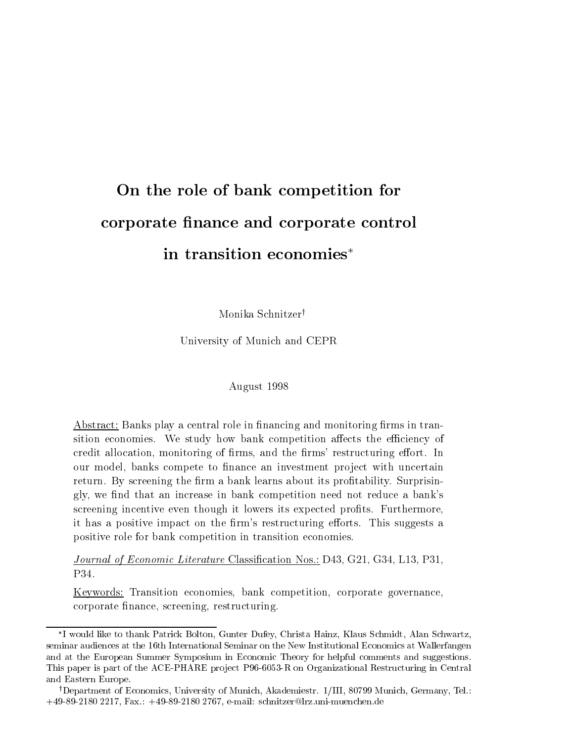# On the role of bank competition for corporate nance and corporate control in transition economies

Monika Schnitzer<sup>†</sup>

University of Munich and CEPR

#### August 1998

Abstract: Banks play a central role in financing and monitoring firms in transition economies. We study how bank competition affects the efficiency of credit allocation, monitoring of firms, and the firms' restructuring effort. In our model, banks compete to finance an investment project with uncertain return. By screening the firm a bank learns about its profitability. Surprisingly, we nd that an increase in bank competition need not reduce a bank's screening incentive even though it lowers its expected profits. Furthermore, it has a positive impact on the firm's restructuring efforts. This suggests a positive role for bank competition in transition economies.

Journal of Economic Literature Classification Nos.: D43, G21, G34, L13, P31, P<sub>34</sub>

Keywords: Transition economies, bank competition, corporate governance, corporate nance, screening, restructuring.

I would like to thank Patrick Bolton, Gunter Dufey, Christa Hainz, Klaus Schmidt, Alan Schwartz, seminar audiences at the 16th International Seminar on the New Institutional Economics at Wallerfangen and atthe European Summer Symposium in Economic Theory for helpful comments and suggestions. This paper is part of the ACE-PHARE project P96-6053-R on Organizational Restructuring in Central and Eastern Europe.

<sup>&</sup>lt;sup>†</sup>Department of Economics, University of Munich, Akademiestr. 1/III, 80799 Munich, Germany, Tel.: +49-89-2180 2217, Fax.: +49-89-2180 2767, e-mail: schnitzer@lrz.uni-muenchen.de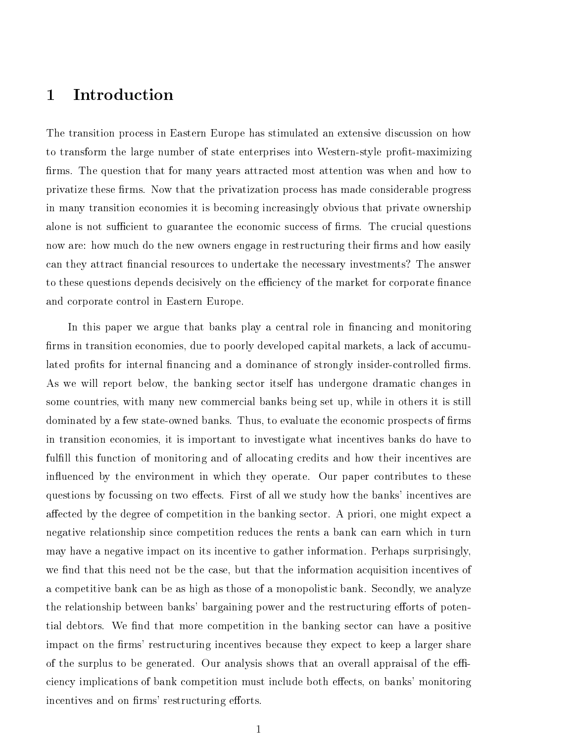#### **Introduction**  $\mathbf{1}$

The transition process in Eastern Europe has stimulated an extensive discussion on how to transform the large number of state enterprises into Western-style prot-maximizing firms. The question that for many years attracted most attention was when and how to privatize these firms. Now that the privatization process has made considerable progress in many transition economies it is becoming increasingly obvious that private ownership alone is not sufficient to guarantee the economic success of firms. The crucial questions now are: how much do the new owners engage in restructuring their firms and how easily can they attract nancial resources to undertake the necessary investments? The answer to these questions depends decisively on the efficiency of the market for corporate finance and corporate control in Eastern Europe.

In this paper we argue that banks play a central role in financing and monitoring firms in transition economies, due to poorly developed capital markets, a lack of accumulated profits for internal financing and a dominance of strongly insider-controlled firms. As we will report below, the banking sector itself has undergone dramatic changes in some countries, with many new commercial banks being set up, while in others it is still dominated by a few state-owned banks. Thus, to evaluate the economic prospects of firms in transition economies, it is important to investigate what incentives banks do have to fulfill this function of monitoring and of allocating credits and how their incentives are influenced by the environment in which they operate. Our paper contributes to these questions by focussing on two effects. First of all we study how the banks' incentives are affected by the degree of competition in the banking sector. A priori, one might expect a negative relationship since competition reduces the rents a bank can earn which in turn may have a negative impact on its incentive to gather information. Perhaps surprisingly, we find that this need not be the case, but that the information acquisition incentives of a competitive bank can be as high as those of a monopolistic bank. Secondly, we analyze the relationship between banks' bargaining power and the restructuring efforts of potential debtors. We find that more competition in the banking sector can have a positive impact on the firms' restructuring incentives because they expect to keep a larger share of the surplus to be generated. Our analysis shows that an overall appraisal of the efficiency implications of bank competition must include both effects, on banks' monitoring incentives and on firms' restructuring efforts.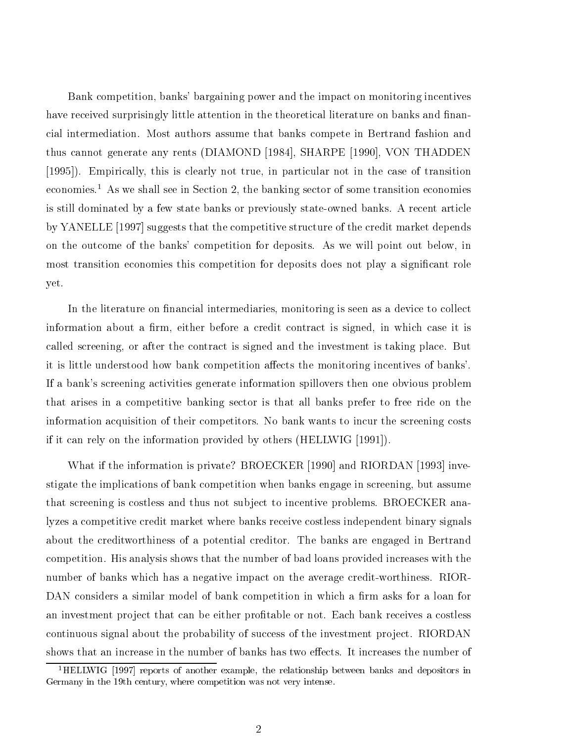Bank competition, banks' bargaining power and the impact on monitoring incentives have received surprisingly little attention in the theoretical literature on banks and financial intermediation. Most authors assume that banks compete in Bertrand fashion and thus cannot generate any rents (DIAMOND [1984], SHARPE [1990], VON THADDEN [1995]). Empirically, this is clearly not true, in particular not in the case of transition economies.1 As we shall see in Section 2, the banking sector of some transition economies is still dominated by a few state banks or previously state-owned banks. A recent article by YANELLE [1997] suggests that the competitive structure of the credit market depends on the outcome of the banks' competition for deposits. As we will point out below, in most transition economies this competition for deposits does not play a signicant role yet.

In the literature on financial intermediaries, monitoring is seen as a device to collect information about a firm, either before a credit contract is signed, in which case it is called screening, or after the contract is signed and the investment is taking place. But it is little understood how bank competition affects the monitoring incentives of banks'. If a bank's screening activities generate information spillovers then one obvious problem that arises in a competitive banking sector is that all banks prefer to free ride on the information acquisition of their competitors. No bank wants to incur the screening costs if it can rely on the information provided by others (HELLWIG [1991]).

What if the information is private? BROECKER [1990] and RIORDAN [1993] investigate the implications of bank competition when banks engage in screening, but assume that screening is costless and thus not subject to incentive problems. BROECKER analyzes a competitive credit market where banks receive costless independent binary signals about the creditworthiness of a potential creditor. The banks are engaged in Bertrand competition. His analysis shows that the number of bad loans provided increases with the number of banks which has a negative impact on the average credit-worthiness. RIOR-DAN considers a similar model of bank competition in which a firm asks for a loan for an investment project that can be either profitable or not. Each bank receives a costless continuous signal about the probability of success of the investment project. RIORDAN shows that an increase in the number of banks has two effects. It increases the number of

<sup>1</sup>HELLWIG [1997] reports of another example, the relationship between banks and depositors in Germany in the 19th century, where competition was not very intense.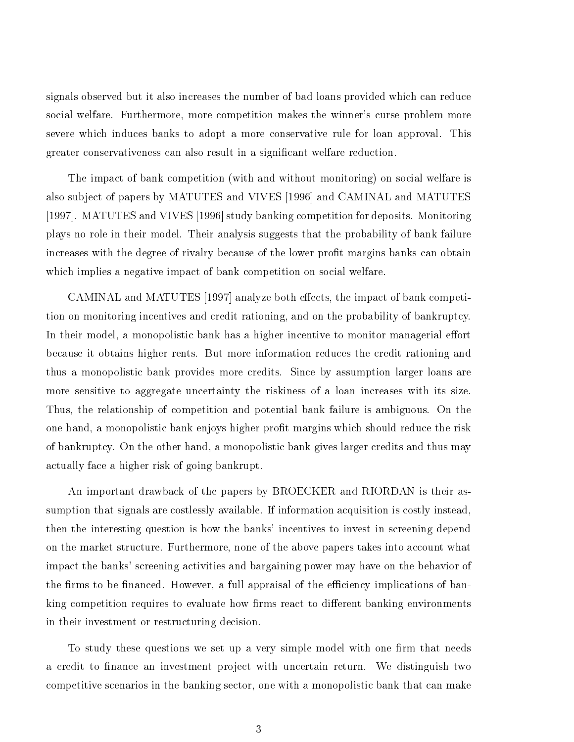signals observed but it also increases the number of bad loans provided which can reduce social welfare. Furthermore, more competition makes the winner's curse problem more severe which induces banks to adopt a more conservative rule for loan approval. This greater conservativeness can also result in a signicant welfare reduction.

The impact of bank competition (with and without monitoring) on social welfare is also sub ject of papers by MATUTES and VIVES [1996] and CAMINAL and MATUTES [1997]. MATUTES and VIVES [1996] study banking competition for deposits. Monitoring plays no role in their model. Their analysis suggests that the probability of bank failure increases with the degree of rivalry because of the lower profit margins banks can obtain which implies a negative impact of bank competition on social welfare.

CAMINAL and MATUTES [1997] analyze both effects, the impact of bank competition on monitoring incentives and credit rationing, and on the probability of bankruptcy. In their model, a monopolistic bank has a higher incentive to monitor managerial effort because it obtains higher rents. But more information reduces the credit rationing and thus a monopolistic bank provides more credits. Since by assumption larger loans are more sensitive to aggregate uncertainty the riskiness of a loan increases with its size. Thus, the relationship of competition and potential bank failure is ambiguous. On the one hand, a monopolistic bank enjoys higher profit margins which should reduce the risk of bankruptcy. On the other hand, a monopolistic bank gives larger credits and thus may actually face a higher risk of going bankrupt.

An important drawback of the papers by BROECKER and RIORDAN is their assumption that signals are costlessly available. If information acquisition is costly instead, then the interesting question is how the banks' incentives to invest in screening depend on the market structure. Furthermore, none of the above papers takes into account what impact the banks' screening activities and bargaining power may have on the behavior of the firms to be financed. However, a full appraisal of the efficiency implications of banking competition requires to evaluate how firms react to different banking environments in their investment or restructuring decision.

To study these questions we set up a very simple model with one firm that needs a credit to finance an investment project with uncertain return. We distinguish two competitive scenarios in the banking sector, one with a monopolistic bank that can make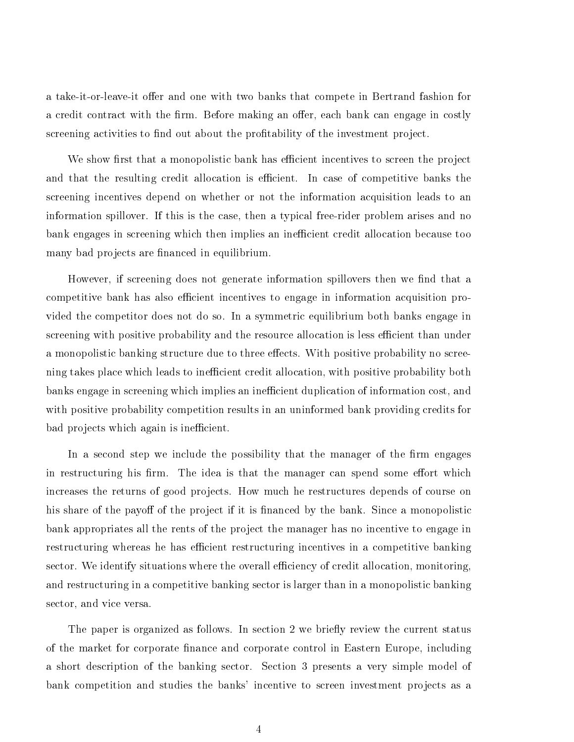a take-it-or-leave-it offer and one with two banks that compete in Bertrand fashion for a credit contract with the firm. Before making an offer, each bank can engage in costly screening activities to find out about the profitability of the investment project.

We show first that a monopolistic bank has efficient incentives to screen the project and that the resulting credit allocation is efficient. In case of competitive banks the screening incentives depend on whether or not the information acquisition leads to an information spillover. If this is the case, then a typical free-rider problem arises and no bank engages in screening which then implies an inefficient credit allocation because too many bad projects are financed in equilibrium.

However, if screening does not generate information spillovers then we find that a competitive bank has also efficient incentives to engage in information acquisition provided the competitor does not do so. In a symmetric equilibrium both banks engage in screening with positive probability and the resource allocation is less efficient than under a monopolistic banking structure due to three effects. With positive probability no screening takes place which leads to inefficient credit allocation, with positive probability both banks engage in screening which implies an inefficient duplication of information cost, and with positive probability competition results in an uninformed bank providing credits for bad projects which again is inefficient.

In a second step we include the possibility that the manager of the firm engages in restructuring his firm. The idea is that the manager can spend some effort which increases the returns of good projects. How much he restructures depends of course on his share of the payoff of the project if it is financed by the bank. Since a monopolistic bank appropriates all the rents of the project the manager has no incentive to engage in restructuring whereas he has efficient restructuring incentives in a competitive banking sector. We identify situations where the overall efficiency of credit allocation, monitoring, and restructuring in a competitive banking sector is larger than in a monopolistic banking sector, and vice versa.

The paper is organized as follows. In section 2 we briefly review the current status of the market for corporate finance and corporate control in Eastern Europe, including a short description of the banking sector. Section 3 presents a very simple model of bank competition and studies the banks' incentive to screen investment projects as a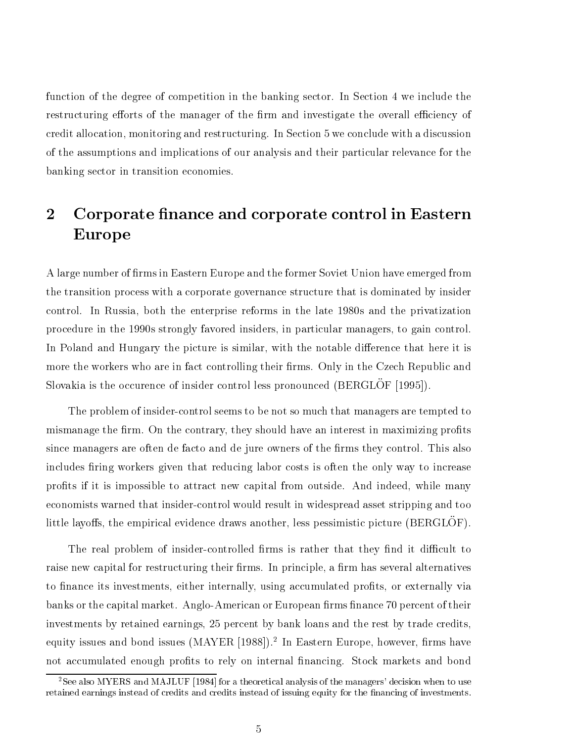function of the degree of competition in the banking sector. In Section 4 we include the restructuring efforts of the manager of the firm and investigate the overall efficiency of credit allocation, monitoring and restructuring. In Section 5 we conclude with a discussion of the assumptions and implications of our analysis and their particular relevance for the banking sector in transition economies.

### $\overline{2}$ Corporate finance and corporate control in Eastern Europe

A large number of firms in Eastern Europe and the former Soviet Union have emerged from the transition process with a corporate governance structure that is dominated by insider control. In Russia, both the enterprise reforms in the late 1980s and the privatization procedure in the 1990s strongly favored insiders, in particular managers, to gain control. In Poland and Hungary the picture is similar, with the notable difference that here it is more the workers who are in fact controlling their firms. Only in the Czech Republic and Slovakia is the occurence of insider control less pronounced (BERGLÖF [1995]).

The problem of insider-control seems to be not so much that managers are tempted to mismanage the firm. On the contrary, they should have an interest in maximizing profits since managers are often de facto and de jure owners of the firms they control. This also includes firing workers given that reducing labor costs is often the only way to increase prots if it is impossible to attract new capital from outside. And indeed, while many economists warned that insider-control would result in widespread asset stripping and too little layoffs, the empirical evidence draws another, less pessimistic picture (BERGLÖF).

The real problem of insider-controlled firms is rather that they find it difficult to raise new capital for restructuring their firms. In principle, a firm has several alternatives to finance its investments, either internally, using accumulated profits, or externally via banks or the capital market. Anglo-American or European firms finance 70 percent of their investments by retained earnings, 25 percent by bank loans and the rest by trade credits, equity issues and bond issues (MAYER [1988]).2 In Eastern Europe, however, rms have not accumulated enough profits to rely on internal financing. Stock markets and bond

<sup>&</sup>lt;sup>2</sup>See also MYERS and MAJLUF [1984] for a theoretical analysis of the managers' decision when to use retained earnings instead of credits and credits instead of issuing equity for the financing of investments.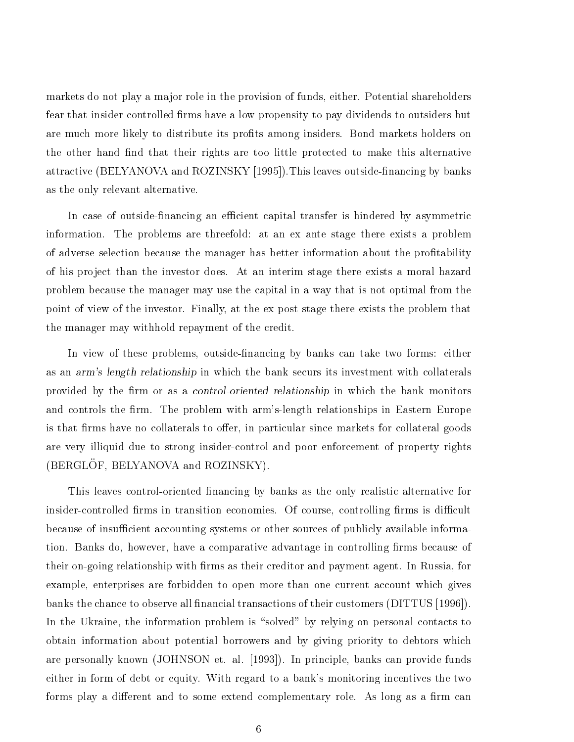markets do not play a major role in the provision of funds, either. Potential shareholders fear that insider-controlled firms have a low propensity to pay dividends to outsiders but are much more likely to distribute its profits among insiders. Bond markets holders on the other hand find that their rights are too little protected to make this alternative attractive (BELYANOVA and ROZINSKY [1995]). This leaves outside-financing by banks as the only relevant alternative.

In case of outside-financing an efficient capital transfer is hindered by asymmetric information. The problems are threefold: at an ex ante stage there exists a problem of adverse selection because the manager has better information about the protability of his pro ject than the investor does. At an interim stage there exists a moral hazard problem because the manager may use the capital in a way that is not optimal from the point of view of the investor. Finally, at the ex post stage there exists the problem that the manager may withhold repayment of the credit.

In view of these problems, outside-financing by banks can take two forms: either as an arm's length relationship in which the bank securs its investment with collaterals provided by the firm or as a control-oriented relationship in which the bank monitors and controls the firm. The problem with arm's-length relationships in Eastern Europe is that firms have no collaterals to offer, in particular since markets for collateral goods are very illiquid due to strong insider-control and poor enforcement of property rights (BERGLÖF, BELYANOVA and ROZINSKY).

This leaves control-oriented financing by banks as the only realistic alternative for insider-controlled firms in transition economies. Of course, controlling firms is difficult because of insufficient accounting systems or other sources of publicly available information. Banks do, however, have a comparative advantage in controlling firms because of their on-going relationship with firms as their creditor and payment agent. In Russia, for example, enterprises are forbidden to open more than one current account which gives banks the chance to observe all financial transactions of their customers (DITTUS [1996]). In the Ukraine, the information problem is "solved" by relying on personal contacts to obtain information about potential borrowers and by giving priority to debtors which are personally known (JOHNSON et. al. [1993]). In principle, banks can provide funds either in form of debt or equity. With regard to a bank's monitoring incentives the two forms play a different and to some extend complementary role. As long as a firm can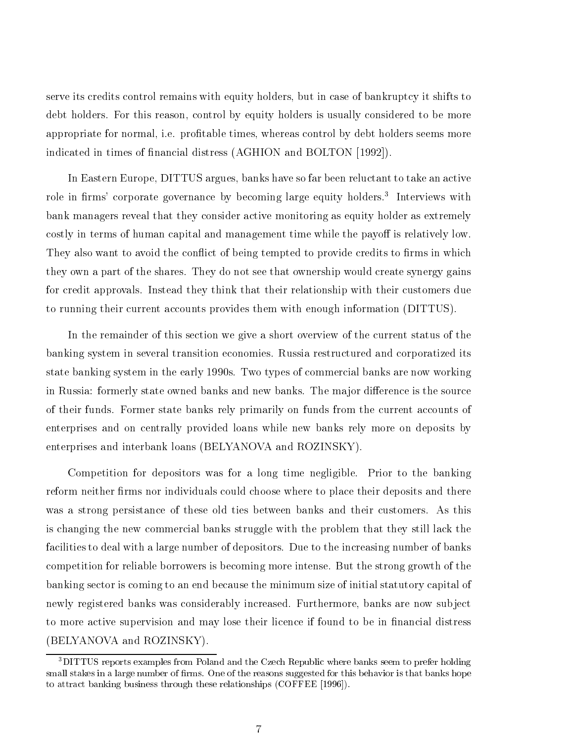serve its credits control remains with equity holders, but in case of bankruptcy it shifts to debt holders. For this reason, control by equity holders is usually considered to be more appropriate for normal, i.e. protable times, whereas control by debt holders seems more indicated in times of financial distress (AGHION and BOLTON [1992]).

In Eastern Europe, DITTUS argues, banks have so far been reluctant to take an active role in firms' corporate governance by becoming large equity holders.<sup>3</sup> Interviews with bank managers reveal that they consider active monitoring as equity holder as extremely costly in terms of human capital and management time while the payoff is relatively low. They also want to avoid the conflict of being tempted to provide credits to firms in which they own a part of the shares. They do not see that ownership would create synergy gains for credit approvals. Instead they think that their relationship with their customers due to running their current accounts provides them with enough information (DITTUS).

In the remainder of this section we give a short overview of the current status of the banking system in several transition economies. Russia restructured and corporatized its state banking system in the early 1990s. Two types of commercial banks are now working in Russia: formerly state owned banks and new banks. The major difference is the source of their funds. Former state banks rely primarily on funds from the current accounts of enterprises and on centrally provided loans while new banks rely more on deposits by enterprises and interbank loans (BELYANOVA and ROZINSKY).

Competition for depositors was for a long time negligible. Prior to the banking reform neither firms nor individuals could choose where to place their deposits and there was a strong persistance of these old ties between banks and their customers. As this is changing the new commercial banks struggle with the problem that they still lack the facilities to deal with a large number of depositors. Due to the increasing number of banks competition for reliable borrowers is becoming more intense. But the strong growth of the banking sector is coming to an end because the minimum size of initial statutory capital of newly registered banks was considerably increased. Furthermore, banks are now sub ject to more active supervision and may lose their licence if found to be in financial distress (BELYANOVA and ROZINSKY).

<sup>&</sup>lt;sup>3</sup>DITTUS reports examples from Poland and the Czech Republic where banks seem to prefer holding small stakes in a large number of firms. One of the reasons suggested for this behavior is that banks hope to attract banking business through these relationships (COFFEE [1996]).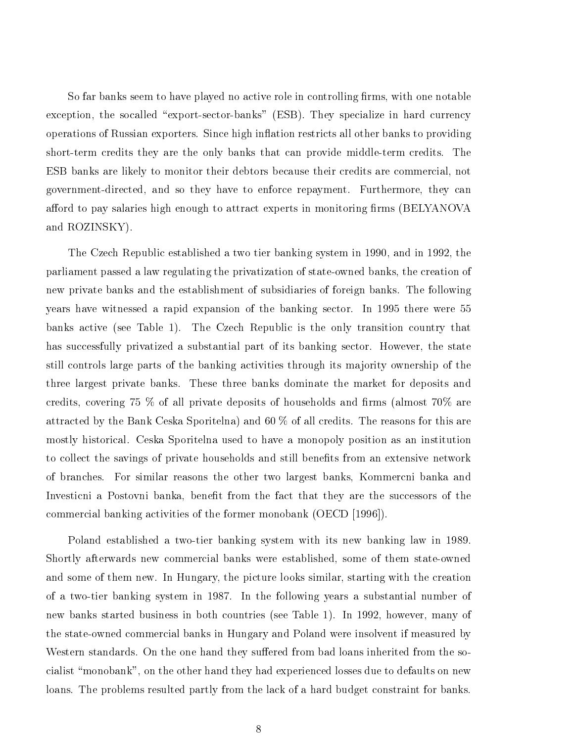So far banks seem to have played no active role in controlling firms, with one notable exception, the socalled "export-sector-banks" (ESB). They specialize in hard currency operations of Russian exporters. Since high in
ation restricts all other banks to providing short-term credits they are the only banks that can provide middle-term credits. The ESB banks are likely to monitor their debtors because their credits are commercial, not government-directed, and so they have to enforce repayment. Furthermore, they can afford to pay salaries high enough to attract experts in monitoring firms (BELYANOVA) and ROZINSKY).

The Czech Republic established a two tier banking system in 1990, and in 1992, the parliament passed a law regulating the privatization of state-owned banks, the creation of new private banks and the establishment of subsidiaries of foreign banks. The following years have witnessed a rapid expansion of the banking sector. In 1995 there were 55 banks active (see Table 1). The Czech Republic is the only transition country that has successfully privatized a substantial part of its banking sector. However, the state still controls large parts of the banking activities through its ma jority ownership of the three largest private banks. These three banks dominate the market for deposits and credits, covering 75  $\%$  of all private deposits of households and firms (almost 70 $\%$  are attracted by the Bank Ceska Sporitelna) and 60 % of all credits. The reasons for this are mostly historical. Ceska Sporitelna used to have a monopoly position as an institution to collect the savings of private households and still benefits from an extensive network of branches. For similar reasons the other two largest banks, Kommercni banka and Investicni a Postovni banka, benet from the fact that they are the successors of the commercial banking activities of the former monobank (OECD [1996]).

Poland established a two-tier banking system with its new banking law in 1989. Shortly afterwards new commercial banks were established, some of them state-owned and some of them new. In Hungary, the picture looks similar, starting with the creation of a two-tier banking system in 1987. In the following years a substantial number of new banks started business in both countries (see Table 1). In 1992, however, many of the state-owned commercial banks in Hungary and Poland were insolvent if measured by Western standards. On the one hand they suffered from bad loans inherited from the socialist \monobank", on the other hand they had experienced losses due to defaults on new loans. The problems resulted partly from the lack of a hard budget constraint for banks.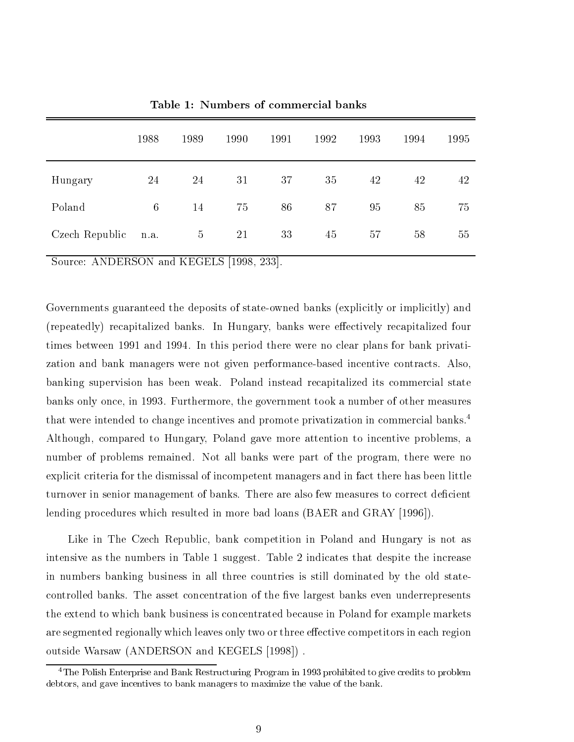|                | 1988            | 1989           | 1990 | 1991 | 1992 | 1993 | 1994 | 1995 |
|----------------|-----------------|----------------|------|------|------|------|------|------|
| Hungary        | 24              | 24             | 31   | 37   | 35   | 42   | 42   | 42   |
| Poland         | $6\phantom{.}6$ | 14             | 75   | 86   | 87   | 95   | 85   | 75   |
| Czech Republic | n.a.            | $\overline{5}$ | 21   | 33   | 45   | 57   | 58   | 55   |

Table 1: Numbers of commercial banks

Source: ANDERSON and KEGELS [1998, 233].

Governments guaranteed the deposits of state-owned banks (explicitly or implicitly) and (repeatedly) recapitalized banks. In Hungary, banks were effectively recapitalized four times between 1991 and 1994. In this period there were no clear plans for bank privatization and bank managers were not given performance-based incentive contracts. Also, banking supervision has been weak. Poland instead recapitalized its commercial state banks only once, in 1993. Furthermore, the government took a number of other measures that were intended to change incentives and promote privatization in commercial banks.<sup>4</sup> Although, compared to Hungary, Poland gave more attention to incentive problems, a number of problems remained. Not all banks were part of the program, there were no explicit criteria for the dismissal of incompetent managers and in fact there has been little turnover in senior management of banks. There are also few measures to correct deficient lending procedures which resulted in more bad loans (BAER and GRAY [1996]).

Like in The Czech Republic, bank competition in Poland and Hungary is not as intensive as the numbers in Table 1 suggest. Table 2 indicates that despite the increase in numbers banking business in all three countries is still dominated by the old statecontrolled banks. The asset concentration of the five largest banks even underrepresents the extend to which bank business is concentrated because in Poland for example markets are segmented regionally which leaves only two or three effective competitors in each region outside Warsaw (ANDERSON and KEGELS [1998]) .

<sup>4</sup>The Polish Enterprise and Bank Restructuring Program in 1993 prohibited to give credits to problem debtors, and gave incentives to bank managers to maximize the value of the bank.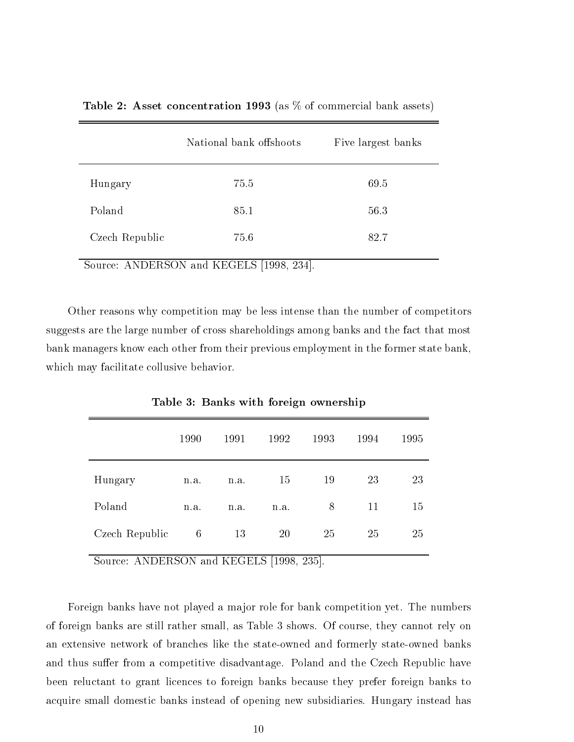|                | National bank offshoots | Five largest banks |  |  |
|----------------|-------------------------|--------------------|--|--|
| Hungary        | 75.5                    | 69.5               |  |  |
| Poland         | 85.1                    | 56.3               |  |  |
| Czech Republic | 75.6                    | 82.7               |  |  |

**Table 2:** Asset concentration 1993 (as  $\%$  of commercial bank assets)

Source: ANDERSON and KEGELS [1998, 234].

Other reasons why competition may be less intense than the number of competitors suggests are the large number of cross shareholdings among banks and the fact that most bank managers know each other from their previous employment in the former state bank, which may facilitate collusive behavior.

|                | 1990 | 1991 | 1992 | 1993 | 1994 | 1995 |
|----------------|------|------|------|------|------|------|
| Hungary        | n.a. | n.a. | 15   | 19   | 23   | 23   |
| Poland         | n.a. | n.a. | n.a. | 8    | 11   | 15   |
| Czech Republic | 6    | 13   | 20   | 25   | 25   | 25   |

Table 3: Banks with foreign ownership

Source: ANDERSON and KEGELS [1998, 235].

Foreign banks have not played a ma jor role for bank competition yet. The numbers of foreign banks are still rather small, as Table 3 shows. Of course, they cannot rely on an extensive network of branches like the state-owned and formerly state-owned banks and thus suffer from a competitive disadvantage. Poland and the Czech Republic have been reluctant to grant licences to foreign banks because they prefer foreign banks to acquire small domestic banks instead of opening new subsidiaries. Hungary instead has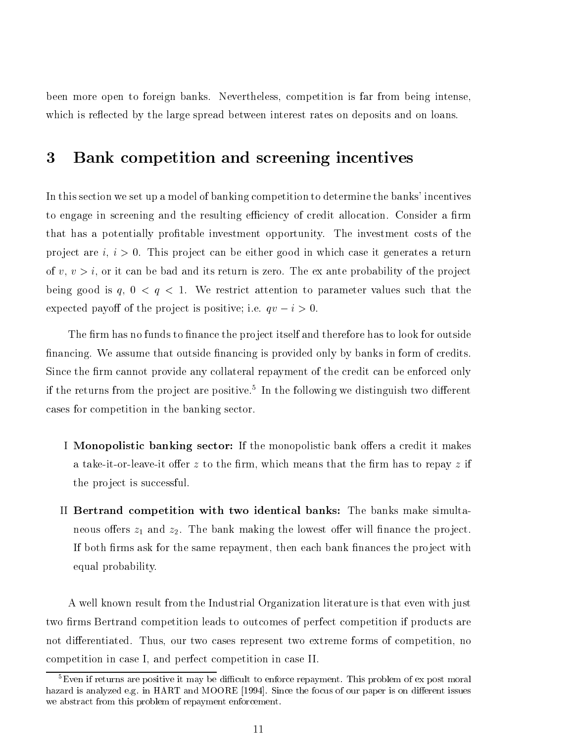been more open to foreign banks. Nevertheless, competition is far from being intense, which is reflected by the large spread between interest rates on deposits and on loans.

#### 3 Bank competition and screening incentives

In this section we set up a model of banking competition to determine the banks' incentives to engage in screening and the resulting efficiency of credit allocation. Consider a firm that has a potentially profitable investment opportunity. The investment costs of the project are  $i, i > 0$ . This project can be either good in which case it generates a return of  $v, v > i$ , or it can be bad and its return is zero. The ex ante probability of the project being good is  $q, 0 < q < 1$ . We restrict attention to parameter values such that the expected payoff of the project is positive; i.e.  $qv - i > 0$ .

The firm has no funds to finance the project itself and therefore has to look for outside financing. We assume that outside financing is provided only by banks in form of credits. Since the firm cannot provide any collateral repayment of the credit can be enforced only if the returns from the project are positive." In the following we distinguish two different cases for competition in the banking sector.

- I Monopolistic banking sector: If the monopolistic bank offers a credit it makes a take-it-or-leave-it offer z to the firm, which means that the firm has to repay z if the project is successful.
- II Bertrand competition with two identical banks: The banks make simultaneous offers  $z_1$  and  $z_2$ . The bank making the lowest offer will finance the project. If both firms ask for the same repayment, then each bank finances the project with equal probability.

A well known result from the Industrial Organization literature is that even with just two firms Bertrand competition leads to outcomes of perfect competition if products are not differentiated. Thus, our two cases represent two extreme forms of competition, no competition in case I, and perfect competition in case II.

 ${}^{5}$ Even if returns are positive it may be difficult to enforce repayment. This problem of ex post moral hazard is analyzed e.g. in HART and MOORE [1994]. Since the focus of our paper is on different issues we abstract from this problem of repayment enforcement.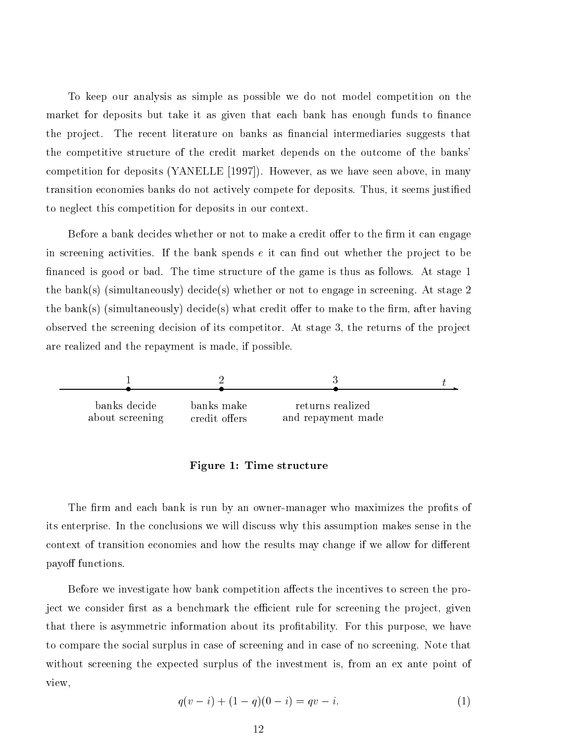To keep our analysis as simple as possible we do not model competition on the market for deposits but take it as given that each bank has enough funds to finance the project. The recent literature on banks as financial intermediaries suggests that the competitive structure of the credit market depends on the outcome of the banks' competition for deposits (YANELLE [1997]). However, as we have seen above, in many transition economies banks do not actively compete for deposits. Thus, it seems justied to neglect this competition for deposits in our context.

Before a bank decides whether or not to make a credit offer to the firm it can engage in screening activities. If the bank spends  $e$  it can find out whether the project to be nanced is good or bad. The time structure of the game is thus as follows. At stage 1 the bank(s) (simultaneously) decide(s) whether or not to engage in screening. At stage 2 the bank(s) (simultaneously) decide(s) what credit offer to make to the firm, after having observed the screening decision of its competitor. At stage  $3$ , the returns of the project are realized and the repayment is made, if possible.



#### Figure 1: Time structure

The firm and each bank is run by an owner-manager who maximizes the profits of its enterprise. In the conclusions we will discuss why this assumption makes sense in the context of transition economies and how the results may change if we allow for different payoff functions.

Before we investigate how bank competition affects the incentives to screen the project we consider first as a benchmark the efficient rule for screening the project, given that there is asymmetric information about its protability. For this purpose, we have to compare the social surplus in case of screening and in case of no screening. Note that without screening the expected surplus of the investment is, from an ex ante point of view,

$$
q(v - i) + (1 - q)(0 - i) = qv - i.
$$
\n(1)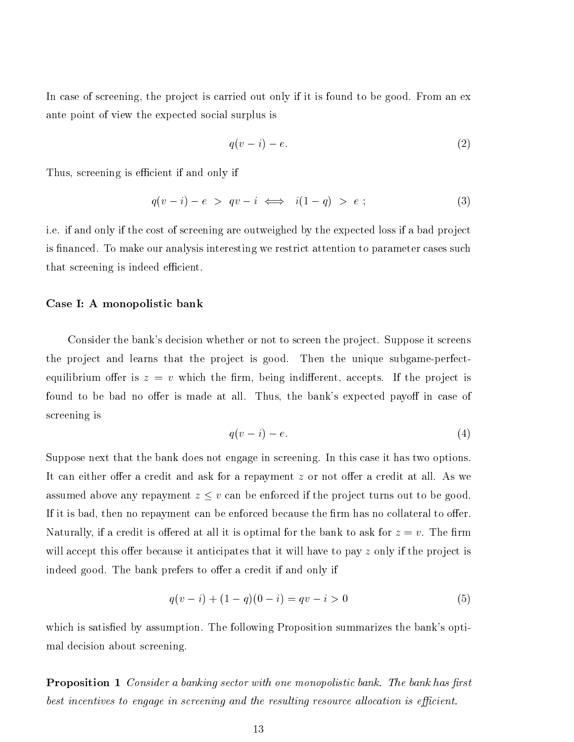In case of screening, the project is carried out only if it is found to be good. From an ex ante point of view the expected social surplus is

$$
q(v-i) - e.\t\t(2)
$$

Thus, screening is efficient if and only if

$$
q(v-i) - e > qv - i \iff i(1-q) > e ; \tag{3}
$$

i.e. if and only if the cost of screening are outweighed by the expected loss if a bad project is financed. To make our analysis interesting we restrict attention to parameter cases such that screening is indeed efficient.

#### Case I: A monopolistic bank

Consider the bank's decision whether or not to screen the project. Suppose it screens the project and learns that the project is good. Then the unique subgame-perfectequilibrium offer is  $z = v$  which the firm, being indifferent, accepts. If the project is found to be bad no offer is made at all. Thus, the bank's expected payoff in case of screening is

$$
q(v-i) - e.\tag{4}
$$

Suppose next that the bank does not engage in screening. In this case it has two options. It can either offer a credit and ask for a repayment  $z$  or not offer a credit at all. As we assumed above any repayment  $z \leq v$  can be enforced if the project turns out to be good. If it is bad, then no repayment can be enforced because the firm has no collateral to offer. Naturally, if a credit is offered at all it is optimal for the bank to ask for  $z = v$ . The firm will accept this offer because it anticipates that it will have to pay  $z$  only if the project is indeed good. The bank prefers to offer a credit if and only if

$$
q(v - i) + (1 - q)(0 - i) = qv - i > 0
$$
\n<sup>(5)</sup>

which is satisfied by assumption. The following Proposition summarizes the bank's optimal decision about screening.

**Proposition 1** Consider a banking sector with one monopolistic bank. The bank has first best incentives to engage in screening and the resulting resource allocation is efficient.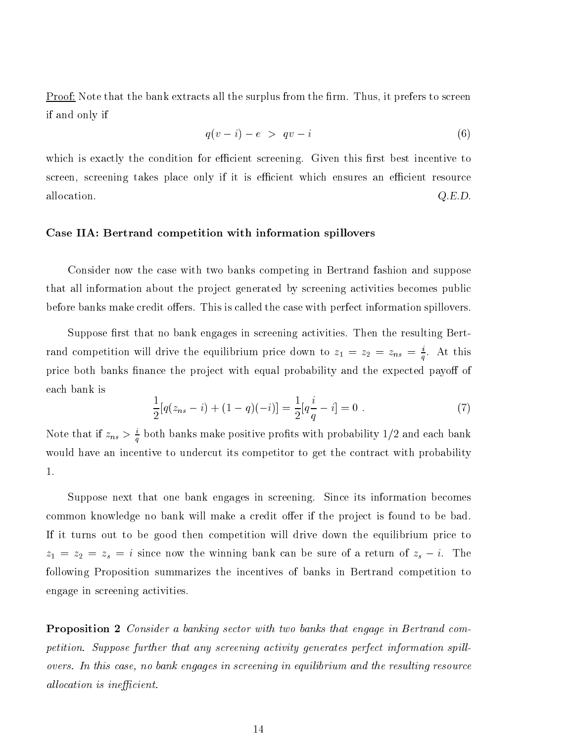$Proof: Note that the bank extracts all the surplus from the firm. Thus, it prefers to screen$ </u> if and only if

$$
q(v-i) - e > qv - i \tag{6}
$$

which is exactly the condition for efficient screening. Given this first best incentive to screen, screening takes place only if it is efficient which ensures an efficient resource allocation.  $Q.E.D.$ 

#### Case IIA: Bertrand competition with information spillovers

Consider now the case with two banks competing in Bertrand fashion and suppose that all information about the project generated by screening activities becomes public before banks make credit offers. This is called the case with perfect information spillovers.

Suppose first that no bank engages in screening activities. Then the resulting Bertrand competition will drive the equilibrium price down to  $z_1 = z_2 = z_{ns} = \frac{1}{q}$ . At this price both banks finance the project with equal probability and the expected payoff of each bank is

$$
\frac{1}{2}[q(z_{ns}-i) + (1-q)(-i)] = \frac{1}{2}[q\frac{i}{q} - i] = 0.
$$
\n(7)

Note that if  $z_{ns} > \frac{1}{q}$  both banks make positive profits with probability 1/2 and each bank would have an incentive to undercut its competitor to get the contract with probability 1.

Suppose next that one bank engages in screening. Since its information becomes common knowledge no bank will make a credit offer if the project is found to be bad. If it turns out to be good then competition willdrive down the equilibrium price to  $z_1 = z_2 = z_s = i$  since now the winning bank can be sure of a return of  $z_s - i$ . The following Proposition summarizes the incentives of banks in Bertrand competition to engage in screening activities.

Proposition 2 Consider a banking sector with two banks that engage in Bertrand competition. Suppose further that any screening activity generates perfect information spillovers. In this case, no bank engages in screening in equilibrium and the resulting resource allocation is inefficient.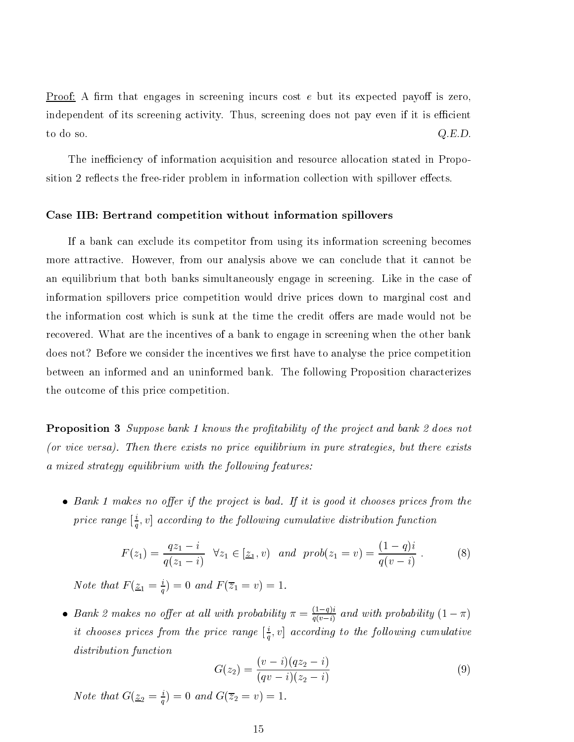<u>Proof:</u> A firm that engages in screening incurs cost  $e$  but its expected payoff is zero, independent of its screening activity. Thus, screening does not pay even if it is efficient to do so. Q.E.D.

The inefficiency of information acquisition and resource allocation stated in Proposition 2 reflects the free-rider problem in information collection with spillover effects.

#### Case IIB: Bertrand competition without information spillovers

If a bank can exclude its competitor from using its information screening becomes more attractive. However, from our analysis above we can conclude that it cannot be an equilibrium that both banks simultaneously engage in screening. Like in the case of information spillovers price competition would drive prices down to marginal cost and the information cost which is sunk at the time the credit offers are made would not be recovered. What are the incentives of a bank to engage in screening when the other bank does not? Before we consider the incentives we first have to analyse the price competition between an informed and an uninformed bank. The following Proposition characterizes the outcome of this price competition.

**Proposition 3** Suppose bank 1 knows the profitability of the project and bank 2 does not (or vice versa). Then there exists no price equilibrium in pure strategies, but there exists a mixed strategy equilibrium with the following features:

 $\bullet$  Bank 1 makes no offer if the project is bad. If it is good it chooses prices from the price range  $|\div, v|$  a  $q$ ,  $\cdot$  ] according to the following cumulative distribution function  $\cdot$ 

$$
F(z_1) = \frac{qz_1 - i}{q(z_1 - i)} \quad \forall z_1 \in [z_1, v) \quad and \quad prob(z_1 = v) = \frac{(1 - q)i}{q(v - i)} \ . \tag{8}
$$

Note that  $F(\underline{z}_1 = \frac{1}{q}) = 0$  and  $F(z_1 = v) = 1$ .

• Bank 2 makes no offer at all with probability  $\pi = \frac{1}{q(v-1)}$  and with probability  $(1 - \pi)$  $u$  chooses prices from the price range  $|\pm, v|$  a  $q$ ,  $\theta$  according to the following cumulative distribution function

$$
G(z_2) = \frac{(v-i)(qz_2 - i)}{(qv - i)(z_2 - i)}
$$
\n(9)

Note that  $G(\underline{z}_2 = \frac{1}{a}) = 0$  and  $G(z_2 = v) = 1$ .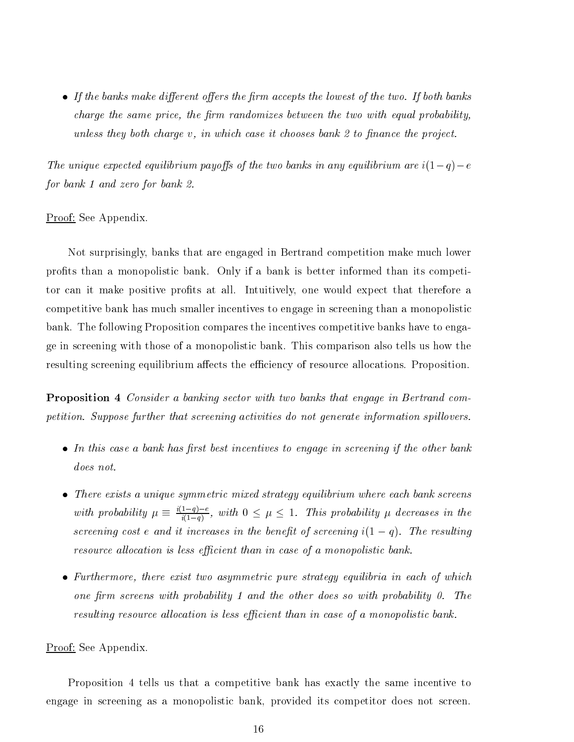• If the banks make different offers the firm accepts the lowest of the two. If both banks  $charge\ the\ same\ price,\ the\ firm\ randomizes\ between\ the\ two\ with\ equal\ probability.$ unless they both charge  $v$ , in which case it chooses bank 2 to finance the project.

The unique expected equilibrium payoffs of the two banks in any equilibrium are  $i(1-q)-e$ for bank 1 and zero for bank 2.

#### Proof: See Appendix.

Not surprisingly, banks that are engaged in Bertrand competition make much lower prots than a monopolistic bank. Only if a bank is better informed than its competitor can it make positive profits at all. Intuitively, one would expect that therefore a competitive bank has much smaller incentives to engage in screening than a monopolistic bank. The following Proposition compares the incentives competitive banks have to engage in screening with those of a monopolistic bank. This comparison also tells us how the resulting screening equilibrium affects the efficiency of resource allocations. Proposition.

Proposition 4 Consider a banking sector with two banks that engage in Bertrand competition. Suppose further that screening activities do not generate information spillovers.

- $\bullet$  In this case a bank has first best incentives to engage in screening if the other bank does not.
- There exists a unique symmetric mixed strategy equilibrium where each bank screens with probability  $\mu \equiv \frac{q}{i(1-q)}$ , with  $0 \leq \mu \leq 1$ . This probability  $\mu$  decreases in the screening cost e and it increases in the benefit of screening  $i(1-q)$ . The resulting resource allocation is less efficient than in case of a monopolistic bank.
- Furthermore, there exist two asymmetric pure strategy equilibria in each of which one firm screens with probability 1 and the other does so with probability 0. The resulting resource allocation is less efficient than in case of a monopolistic bank.

#### Proof: See Appendix.

Proposition 4 tells us that a competitive bank has exactly the same incentive to engage in screening as a monopolistic bank, provided its competitor does not screen.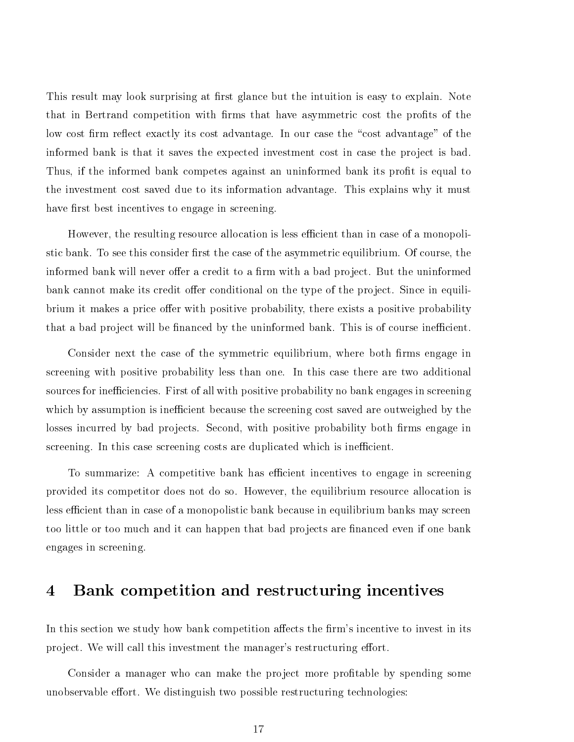This result may look surprising at first glance but the intuition is easy to explain. Note that in Bertrand competition with firms that have asymmetric cost the profits of the low cost firm reflect exactly its cost advantage. In our case the "cost advantage" of the informed bank is that it saves the expected investment cost in case the project is bad. Thus, if the informed bank competes against an uninformed bank its profit is equal to the investment cost saved due to its information advantage. This explains why it must have first best incentives to engage in screening.

However, the resulting resource allocation is less efficient than in case of a monopolistic bank. To see this consider first the case of the asymmetric equilibrium. Of course, the informed bank will never offer a credit to a firm with a bad project. But the uninformed bank cannot make its credit offer conditional on the type of the project. Since in equilibrium it makes a price offer with positive probability, there exists a positive probability that a bad project will be financed by the uninformed bank. This is of course inefficient.

Consider next the case of the symmetric equilibrium, where both firms engage in screening with positive probability less than one. In this case there are two additional sources for inefficiencies. First of all with positive probability no bank engages in screening which by assumption is inefficient because the screening cost saved are outweighed by the losses incurred by bad projects. Second, with positive probability both firms engage in screening. In this case screening costs are duplicated which is inefficient.

To summarize: A competitive bank has efficient incentives to engage in screening provided its competitor does not do so. However, the equilibrium resource allocation is less efficient than in case of a monopolistic bank because in equilibrium banks may screen too little or too much and it can happen that bad projects are financed even if one bank engages in screening.

# 4 Bank competition and restructuring incentives

In this section we study how bank competition affects the firm's incentive to invest in its project. We will call this investment the manager's restructuring effort.

Consider a manager who can make the project more profitable by spending some unobservable effort. We distinguish two possible restructuring technologies: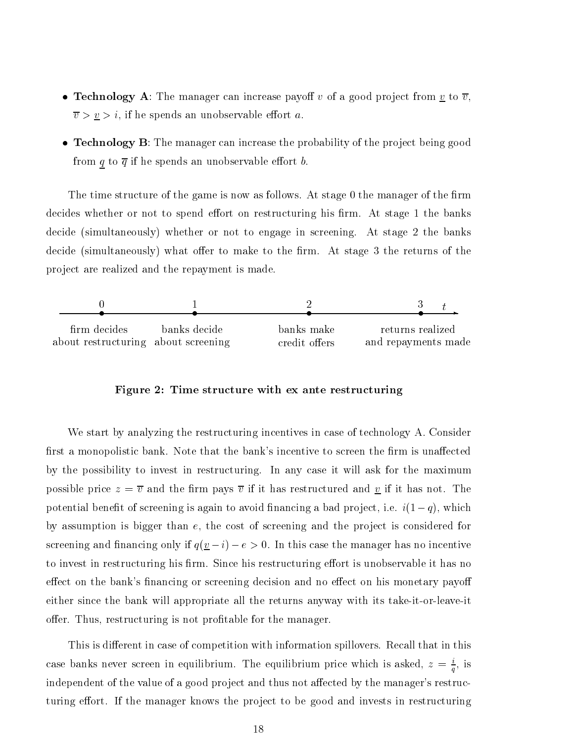- Technology A: The manager can increase payoff v of a good project from  $\underline{v}$  to  $\overline{v}$ ,  $\overline{v} > \underline{v} > i$ , if he spends an unobservable effort a.
- Technology  $\bf{B}$ : The manager can increase the probability of the project being good from  $\underline{q}$  to  $\overline{q}$  if he spends an unobservable effort b.

The time structure of the game is now as follows. At stage 0 the manager of the firm decides whether or not to spend effort on restructuring his firm. At stage 1 the banks decide (simultaneously) whether or not to engage in screening. At stage 2 the banks decide (simultaneously) what offer to make to the firm. At stage 3 the returns of the project are realized and the repayment is made.



Figure 2: Time structure with ex ante restructuring

We start by analyzing the restructuring incentives in case of technology A. Consider first a monopolistic bank. Note that the bank's incentive to screen the firm is unaffected by the possibility to invest in restructuring. In any case it will ask for the maximum possible price  $z = \overline{v}$  and the firm pays  $\overline{v}$  if it has restructured and <u>v</u> if it has not. The potential benefit of screening is again to avoid financing a bad project, i.e.  $i(1-q)$ , which by assumption is bigger than  $e$ , the cost of screening and the project is considered for screening and financing only if  $q(\underline{v}-i) - e > 0$ . In this case the manager has no incentive to invest in restructuring his firm. Since his restructuring effort is unobservable it has no effect on the bank's financing or screening decision and no effect on his monetary payoff either since the bank will appropriate all the returns anyway with its take-it-or-leave-it offer. Thus, restructuring is not profitable for the manager.

This is different in case of competition with information spillovers. Recall that in this case banks never screen in equilibrium. The equilibrium price which is asked,  $z = \frac{1}{q}$ , is independent of the value of a good project and thus not affected by the manager's restructuring effort. If the manager knows the project to be good and invests in restructuring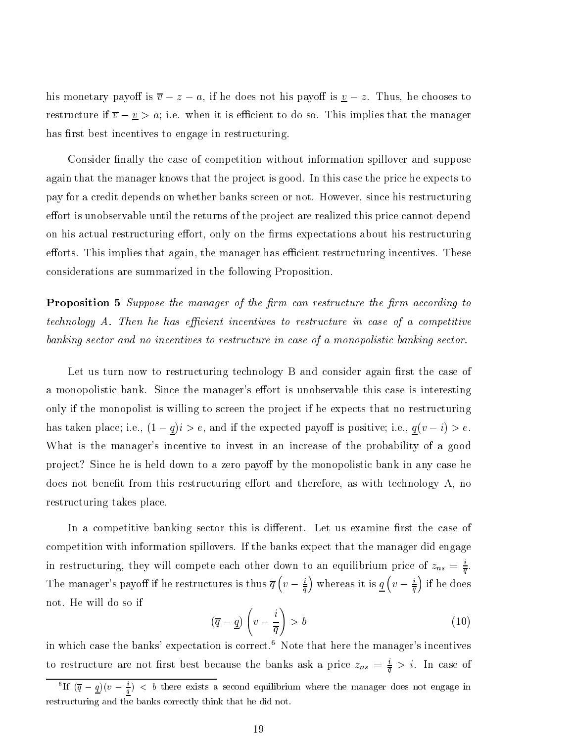his monetary payoff is  $\overline{v} - z - a$ , if he does not his payoff is  $\underline{v} - z$ . Thus, he chooses to restructure if  $\overline{v} - \underline{v} > a$ ; i.e. when it is efficient to do so. This implies that the manager has first best incentives to engage in restructuring.

Consider finally the case of competition without information spillover and suppose again that the manager knows that the project is good. In this case the price he expects to pay for a credit depends on whether banks screen or not. However, since his restructuring effort is unobservable until the returns of the project are realized this price cannot depend on his actual restructuring effort, only on the firms expectations about his restructuring efforts. This implies that again, the manager has efficient restructuring incentives. These considerations are summarized in the following Proposition.

**Proposition 5** Suppose the manager of the firm can restructure the firm according to technology A. Then he has efficient incentives to restructure in case of a competitive banking sector and no incentives to restructure in case of a monopolistic banking sector.

Let us turn now to restructuring technology B and consider again first the case of a monopolistic bank. Since the manager's effort is unobservable this case is interesting only if the monopolist is willing to screen the project if he expects that no restructuring has taken place; i.e.,  $(1 - q)i > e$ , and if the expected payoff is positive; i.e.,  $q(v - i) > e$ . What is the manager's incentive to invest in an increase of the probability of a good project? Since he is held down to a zero payoff by the monopolistic bank in any case he does not benefit from this restructuring effort and therefore, as with technology  $A$ , no restructuring takes place.

In a competitive banking sector this is different. Let us examine first the case of competition with information spillovers. If the banks expect that the manager did engage in restructuring, they will compete each other down to an equilibrium price of  $z_{ns} = \frac{1}{\overline{q}}$ . The manager's payoff if he restructures is thus  $\overline{q}$   $\left(v-\frac{i}{\overline{q}}\right)$  whereas it is  $\underline{q}$   $\left(v-\frac{i}{\overline{q}}\right)$  if he does not. He will do so if

$$
\left(\overline{q} - \underline{q}\right)\left(v - \frac{i}{\overline{q}}\right) > b\tag{10}
$$

in which case the banks' expectation is correct.6 Note that here the manager's incentives to restructure are not first best because the banks ask a price  $z_{ns} = \frac{1}{\overline{q}} > i$ . In case of

If  $(q - q)(v - \frac{1}{q})$   $\lt$  b there exists a second equilibrium where the manager does not engage in restructuring and the banks correctly think that he did not.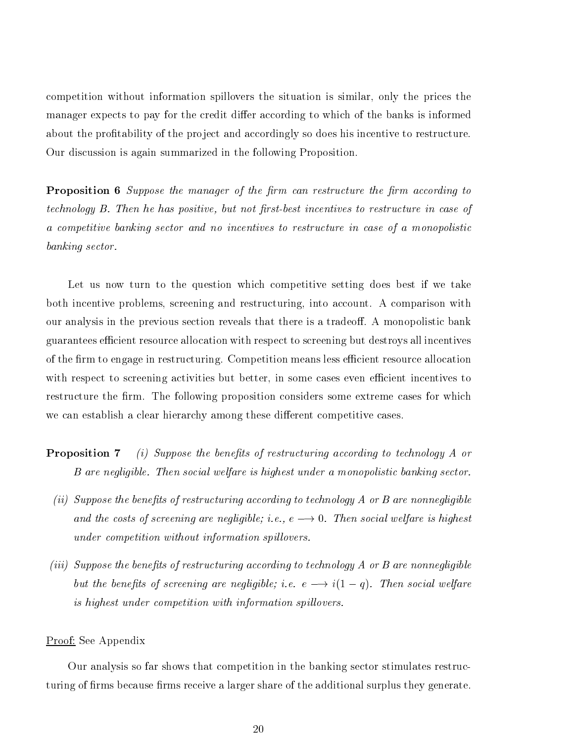competition without information spillovers the situation is similar, only the prices the manager expects to pay for the credit differ according to which of the banks is informed about the profitability of the project and accordingly so does his incentive to restructure. Our discussion is again summarized in the following Proposition.

**Proposition 6** Suppose the manager of the firm can restructure the firm according to technology B. Then he has positive, but not first-best incentives to restructure in case of a competitive banking sector and no incentives to restructure in case of a monopolistic banking sector.

Let us now turn to the question which competitive setting does best if we take both incentive problems, screening and restructuring, into account. A comparison with our analysis in the previous section reveals that there is a tradeoff. A monopolistic bank guarantees efficient resource allocation with respect to screening but destroys all incentives of the firm to engage in restructuring. Competition means less efficient resource allocation with respect to screening activities but better, in some cases even efficient incentives to restructure the firm. The following proposition considers some extreme cases for which we can establish a clear hierarchy among these different competitive cases.

- **Proposition 7** (i) Suppose the benefits of restructuring according to technology A or B are negligible. Then social welfare is highest under a monopolistic banking sector.
	- $(iii)$  Suppose the benefits of restructuring according to technology A or B are nonnegligible and the costs of screening are negligible; i.e.,  $e \rightarrow 0$ . Then social welfare is highest under competition without information spillovers.
- (iii) Suppose the benefits of restructuring according to technology  $A$  or  $B$  are nonnegligible but the benefits of screening are negligible; i.e.  $e \longrightarrow i(1 - q)$ . Then social welfare is highest under competition with information spillovers.

Proof: See Appendix

Our analysis so far shows that competition in the banking sector stimulates restructuring of firms because firms receive a larger share of the additional surplus they generate.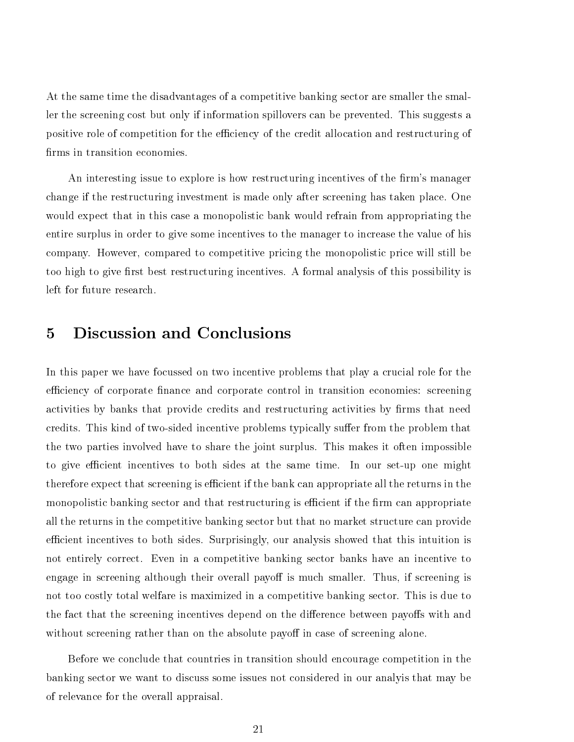At the same time the disadvantages of a competitive banking sector are smaller the smaller the screening cost but only if information spillovers can be prevented. This suggests a positive role of competition for the efficiency of the credit allocation and restructuring of firms in transition economies.

An interesting issue to explore is how restructuring incentives of the firm's manager change if the restructuring investment is made only after screening has taken place. One would expect that in this case a monopolistic bank would refrain from appropriating the entire surplus in order to give some incentives to the manager to increase the value of his company. However, compared to competitive pricing the monopolistic price will still be too high to give first best restructuring incentives. A formal analysis of this possibility is left for future research.

In this paper we have focussed on two incentive problems that play a crucial role for the efficiency of corporate finance and corporate control in transition economies: screening activities by banks that provide credits and restructuring activities by firms that need credits. This kind of two-sided incentive problems typically suffer from the problem that the two parties involved have to share the joint surplus. This makes it often impossible to give efficient incentives to both sides at the same time. In our set-up one might therefore expect that screening is efficient if the bank can appropriate all the returns in the monopolistic banking sector and that restructuring is efficient if the firm can appropriate all the returns in the competitive banking sector but that no market structure can provide efficient incentives to both sides. Surprisingly, our analysis showed that this intuition is not entirely correct. Even in a competitive banking sector banks have an incentive to engage in screening although their overall payoff is much smaller. Thus, if screening is not too costly total welfare is maximized in a competitive banking sector. This is due to the fact that the screening incentives depend on the difference between payoffs with and without screening rather than on the absolute payoff in case of screening alone.

Before we conclude that countries in transition should encourage competition in the banking sector we want to discuss some issues not considered in our analyis that may be of relevance for the overall appraisal.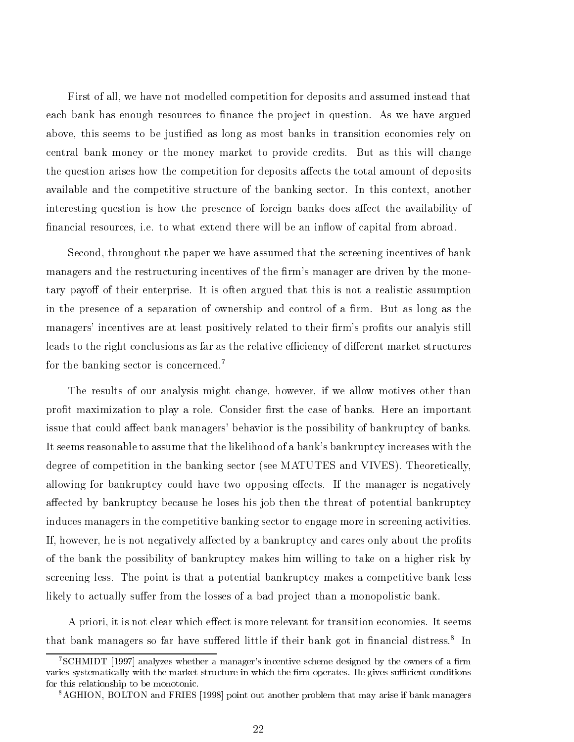First of all, we have not modelled competition for deposits and assumed instead that each bank has enough resources to finance the project in question. As we have argued above, this seems to be justied as long as most banks in transition economies rely on central bank money or the money market to provide credits. But as this will change the question arises how the competition for deposits affects the total amount of deposits available and the competitive structure of the banking sector. In this context, another interesting question is how the presence of foreign banks does affect the availability of financial resources, i.e. to what extend there will be an inflow of capital from abroad.

Second, throughout the paper we have assumed that the screening incentives of bank managers and the restructuring incentives of the firm's manager are driven by the monetary payoff of their enterprise. It is often argued that this is not a realistic assumption in the presence of a separation of ownership and control of a firm. But as long as the managers' incentives are at least positively related to their firm's profits our analyis still leads to the right conclusions as far as the relative efficiency of different market structures for the banking sector is concernced.7

The results of our analysis might change, however, if we allow motives other than profit maximization to play a role. Consider first the case of banks. Here an important issue that could affect bank managers' behavior is the possibility of bankruptcy of banks. It seems reasonable to assume that the likelihood of a bank's bankruptcy increases with the degree of competition in the banking sector (see MATUTES and VIVES). Theoretically, allowing for bankruptcy could have two opposing effects. If the manager is negatively affected by bankruptcy because he loses his job then the threat of potential bankruptcy induces managers in the competitive banking sector to engage more in screening activities. If, however, he is not negatively affected by a bankruptcy and cares only about the profits of the bank the possibility of bankruptcy makes him willing to take on a higher risk by screening less. The point is that a potential bankruptcy makes a competitive bank less likely to actually suffer from the losses of a bad project than a monopolistic bank.

A priori, it is not clear which effect is more relevant for transition economies. It seems that bank managers so far have sunered nttle if their bank got in imancial distress. Th

<sup>7</sup>SCHMIDT [1997] analyzes whether a manager's incentive scheme designed by the owners of a rm varies systematically with the market structure in which the firm operates. He gives sufficient conditions for this relationship to be monotonic.

<sup>8</sup>AGHION, BOLTON and FRIES [1998] point out another problem that may arise if bank managers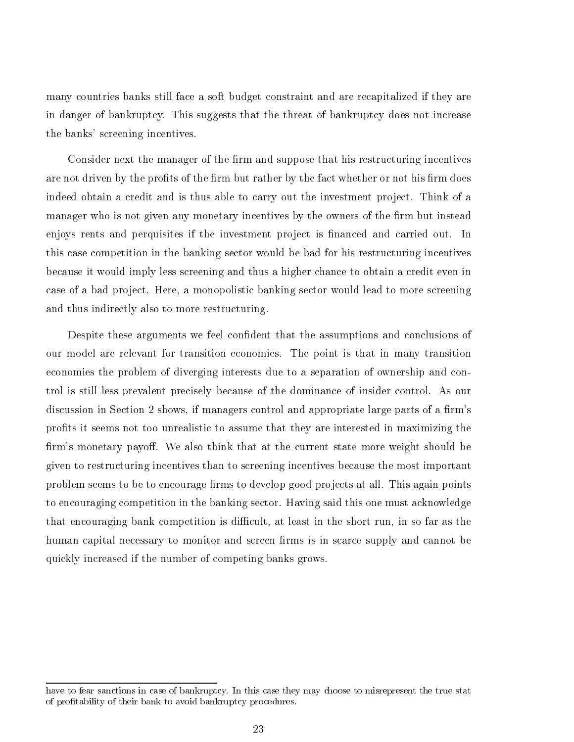many countries banks still face a soft budget constraint and are recapitalized if they are in danger of bankruptcy. This suggests that the threat of bankruptcy does not increase the banks' screening incentives.

Consider next the manager of the firm and suppose that his restructuring incentives are not driven by the profits of the firm but rather by the fact whether or not his firm does indeed obtain a credit and is thus able to carry out the investment project. Think of a manager who is not given any monetary incentives by the owners of the firm but instead enjoys rents and perquisites if the investment project is financed and carried out. In this case competition in the banking sector would be bad for his restructuring incentives because it would imply less screening and thus a higher chance to obtain a credit even in case of a bad project. Here, a monopolistic banking sector would lead to more screening and thus indirectly also to more restructuring.

Despite these arguments we feel confident that the assumptions and conclusions of our model are relevant for transition economies. The point is that in many transition economies the problem of diverging interests due to a separation of ownership and control is still less prevalent precisely because of the dominance of insider control. As our discussion in Section 2 shows, if managers control and appropriate large parts of a firm's prots it seems not too unrealistic to assume that they are interested in maximizing the firm's monetary payoff. We also think that at the current state more weight should be given to restructuring incentives than to screening incentives because the most important problem seems to be to encourage firms to develop good projects at all. This again points to encouraging competition in the banking sector. Having said this one must acknowledge that encouraging bank competition is difficult, at least in the short run, in so far as the human capital necessary to monitor and screen firms is in scarce supply and cannot be quickly increased if the number of competing banks grows.

have to fear sanctions in case of bankruptcy. In this case they may choose to misrepresent the true stat of protability of their bank to avoid bankruptcy procedures.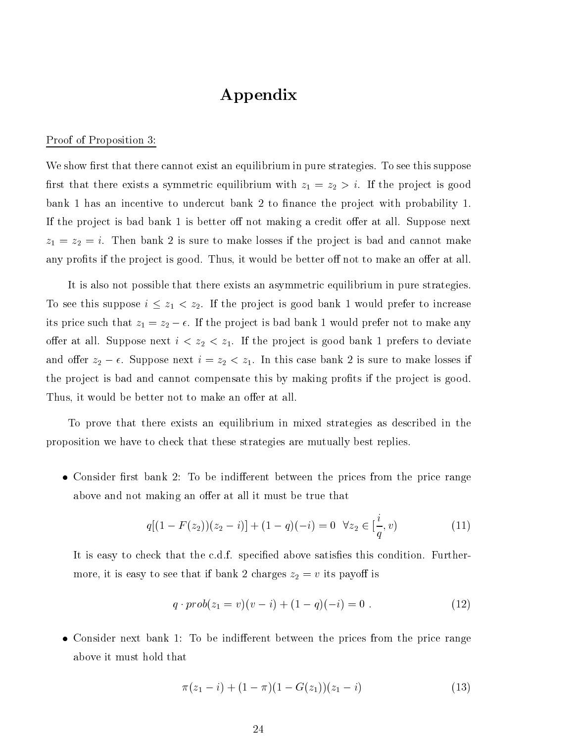# Appendix

#### Proof of Proposition 3:

We show first that there cannot exist an equilibrium in pure strategies. To see this suppose first that there exists a symmetric equilibrium with  $z_1 = z_2 > i$ . If the project is good bank 1 has an incentive to undercut bank 2 to finance the project with probability 1. If the project is bad bank 1 is better off not making a credit offer at all. Suppose next  $z_1 = z_2 = i$ . Then bank 2 is sure to make losses if the project is bad and cannot make any profits if the project is good. Thus, it would be better off not to make an offer at all.

It is also not possible that there exists an asymmetric equilibrium in pure strategies. To see this suppose  $i \leq z_1 < z_2$ . If the project is good bank 1 would prefer to increase its price such that  $z_1 = z_2 - \epsilon$ . If the project is bad bank 1 would prefer not to make any offer at all. Suppose next  $i < z_2 < z_1$ . If the project is good bank 1 prefers to deviate and offer  $z_2 - \epsilon$ . Suppose next  $i = z_2 < z_1$ . In this case bank 2 is sure to make losses if the project is bad and cannot compensate this by making profits if the project is good. Thus, it would be better not to make an offer at all.

To prove that there exists an equilibrium in mixed strategies as described in the proposition we have to check that these strategies are mutually best replies.

• Consider first bank 2: To be indifferent between the prices from the price range above and not making an offer at all it must be true that

$$
q[(1 - F(z2))(z2 - i)] + (1 - q)(-i) = 0 \quad \forall z2 \in [\frac{i}{q}, v)
$$
 (11)

It is easy to check that the c.d.f. specified above satisfies this condition. Furthermore, it is easy to see that if bank 2 charges  $z_2 = v$  its payoff is

$$
q \cdot prob(z_1 = v)(v - i) + (1 - q)(-i) = 0.
$$
 (12)

• Consider next bank 1: To be indifferent between the prices from the price range above it must hold that

$$
\pi(z_1 - i) + (1 - \pi)(1 - G(z_1))(z_1 - i) \tag{13}
$$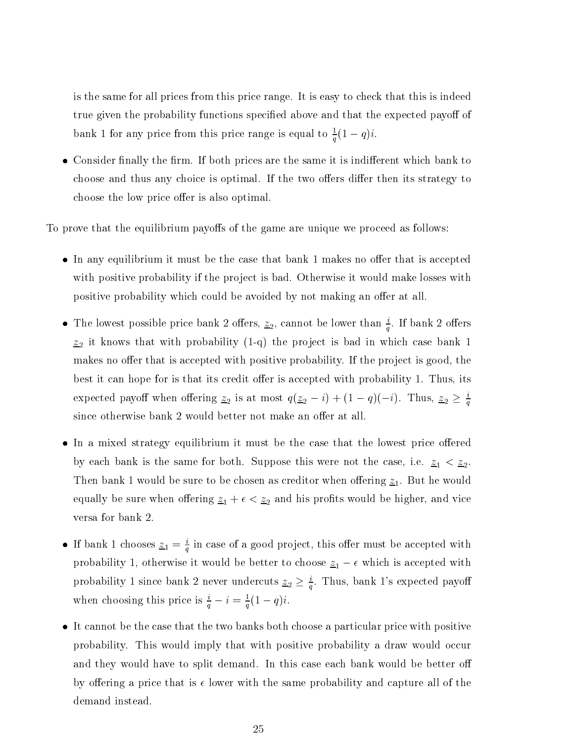is the same for all prices from this price range. It is easy to check that this is indeed true given the probability functions specified above and that the expected payoff of bank 1 for any price from this price range is equal to  $\frac{1}{q}(1-q)^i$ .

• Consider finally the firm. If both prices are the same it is indifferent which bank to choose and thus any choice is optimal. If the two offers differ then its strategy to choose the low price offer is also optimal.

To prove that the equilibrium payoffs of the game are unique we proceed as follows:

- In any equilibrium it must be the case that bank 1 makes no offer that is accepted with positive probability if the project is bad. Otherwise it would make losses with positive probability which could be avoided by not making an offer at all.
- The lowest possible price bank 2 offers,  $\underline{z}_2$ , cannot be lower than  $\frac{1}{q}$ . If bank 2 offers  $z_2$  it knows that with probability (1-q) the project is bad in which case bank 1 makes no offer that is accepted with positive probability. If the project is good, the best it can hope for is that its credit offer is accepted with probability 1. Thus, its expected payon when onering  $\underline{z}_2$  is at most  $q(\underline{z}_2 - i) + (1 - q)(-i)$ . Thus,  $\underline{z}_2 \geq \frac{1}{q}$ since otherwise bank 2 would better not make an offer at all.
- In a mixed strategy equilibrium it must be the case that the lowest price offered by each bank is the same for both. Suppose this were not the case, i.e.  $z_1 < z_2$ . Then bank 1 would be sure to be chosen as creditor when offering  $\underline{z}_1$ . But he would equally be sure when offering  $z_1 + \epsilon < z_2$  and his profits would be higher, and vice versa for bank 2.
- If bank 1 chooses  $\underline{z}_1 = \frac{1}{q}$  in case of a good project, this offer must be accepted with probability 1, otherwise it would be better to choose  $\underline{z}_1 - \epsilon$  which is accepted with probability 1 since bank 2 never undercuts  $\underline{z}_2 \geq \frac{i}{q}$ . Thus, bank 1's expected payoff when choosing this price is  $\frac{1}{q} - i = \frac{1}{q}(1 - q)i$ .
- It cannot be the case that the two banks both choose a particular price with positive probability. This would imply that with positive probability a draw would occur and they would have to split demand. In this case each bank would be better o by offering a price that is  $\epsilon$  lower with the same probability and capture all of the demand instead.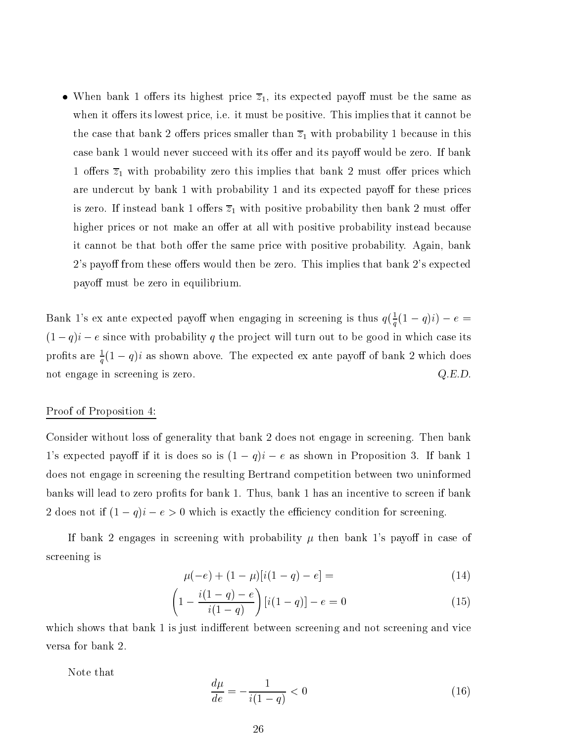• When bank 1 offers its highest price  $\overline{z}_1$ , its expected payoff must be the same as when it offers its lowest price, i.e. it must be positive. This implies that it cannot be the case that bank 2 offers prices smaller than  $\overline{z}_1$  with probability 1 because in this case bank 1 would never succeed with its offer and its payoff would be zero. If bank 1 offers  $\overline{z}_1$  with probability zero this implies that bank 2 must offer prices which are undercut by bank 1 with probability 1 and its expected payoff for these prices is zero. If instead bank 1 offers  $\overline{z}_1$  with positive probability then bank 2 must offer higher prices or not make an offer at all with positive probability instead because it cannot be that both offer the same price with positive probability. Again, bank 2's payoff from these offers would then be zero. This implies that bank 2's expected payoff must be zero in equilibrium.

Bank 1's ex ante expected payoff when engaging in screening is thus  $q(\frac{1}{q}(1-q)i)-e=$  $(1 - q)i - e$  since with probability q the project will turn out to be good in which case its pronts are  $\frac{1}{q}(1-q)i$  as shown above. The expected ex ante payon of bank 2 which does not engage in screening is zero.  $Q.E.D.$ 

#### Proof of Proposition 4:

Consider without loss of generality that bank 2 does not engage in screening. Then bank 1's expected payoff if it is does so is  $(1 - q)i - e$  as shown in Proposition 3. If bank 1 does not engage in screening the resulting Bertrand competition between two uninformed banks will lead to zero profits for bank 1. Thus, bank 1 has an incentive to screen if bank 2 does not if  $(1 - q)i - e > 0$  which is exactly the efficiency condition for screening.

If bank 2 engages in screening with probability  $\mu$  then bank 1's payoff in case of screening is

$$
\mu(-e) + (1 - \mu)[i(1 - q) - e] = \tag{14}
$$

$$
\left(1 - \frac{i(1-q) - e}{i(1-q)}\right)[i(1-q)] - e = 0\tag{15}
$$

which shows that bank 1 is just indifferent between screening and not screening and vice versa for bank 2.

Note that

$$
\frac{d\mu}{de} = -\frac{1}{i(1-q)} < 0 \tag{16}
$$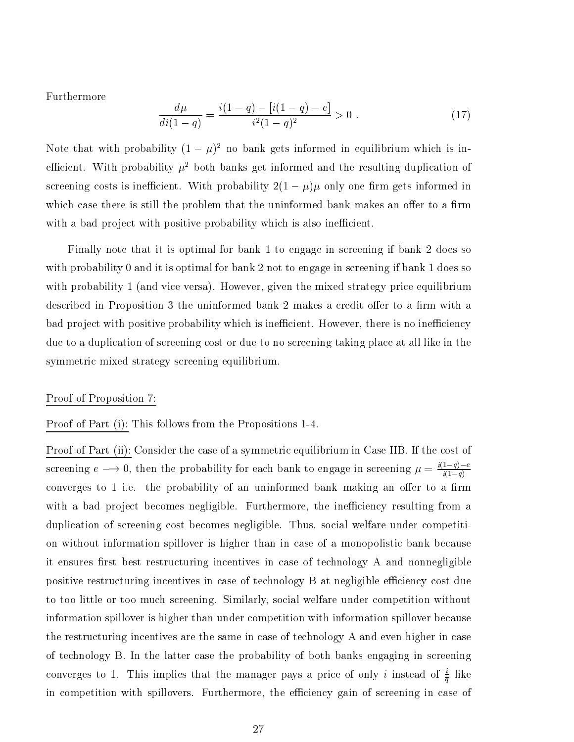Furthermore

$$
\frac{d\mu}{di(1-q)} = \frac{i(1-q) - [i(1-q) - e]}{i^2(1-q)^2} > 0.
$$
\n(17)

Note that with probability  $(1 - \mu)^2$  no bank gets informed in equilibrium which is inefficient. With probability  $\mu^2$  both banks get informed and the resulting duplication of screening costs is inefficient. With probability  $2(1 - \mu)\mu$  only one firm gets informed in which case there is still the problem that the uninformed bank makes an offer to a firm with a bad project with positive probability which is also inefficient.

Finally note that it is optimal for bank 1 to engage in screening if bank 2 does so with probability 0 and it is optimal for bank 2 not to engage in screening if bank 1 does so with probability 1 (and vice versa). However, given the mixed strategy price equilibrium described in Proposition 3 the uninformed bank 2 makes a credit offer to a firm with a bad project with positive probability which is inefficient. However, there is no inefficiency due to a duplication of screening cost or due to no screening taking place at all like in the symmetric mixed strategy screening equilibrium.

#### Proof of Proposition 7:

Proof of Part (i): This follows from the Propositions 1-4.

Proof of Part (ii): Consider the case of a symmetric equilibrium in Case IIB. If the cost of screening  $e \longrightarrow 0$ , then the probability for each bank to engage in screening  $\mu = \frac{\lambda^2 - 1}{i(1-q)}$ converges to 1 i.e. the probability of an uninformed bank making an offer to a firm with a bad project becomes negligible. Furthermore, the inefficiency resulting from a duplication of screening cost becomes negligible. Thus, social welfare under competition without information spillover is higher than in case of a monopolistic bank because it ensures first best restructuring incentives in case of technology A and nonnegligible positive restructuring incentives in case of technology B at negligible efficiency cost due to too little or too much screening. Similarly, social welfare under competition without information spillover is higher than under competition with information spillover because the restructuring incentives are the same in case of technology A and even higher in case of technology B. In the latter case the probability of both banks engaging in screening converges to 1. This implies that the manager pays a price of only  $i$  instead of  $\frac{1}{\overline{q}}$  like in competition with spillovers. Furthermore, the efficiency gain of screening in case of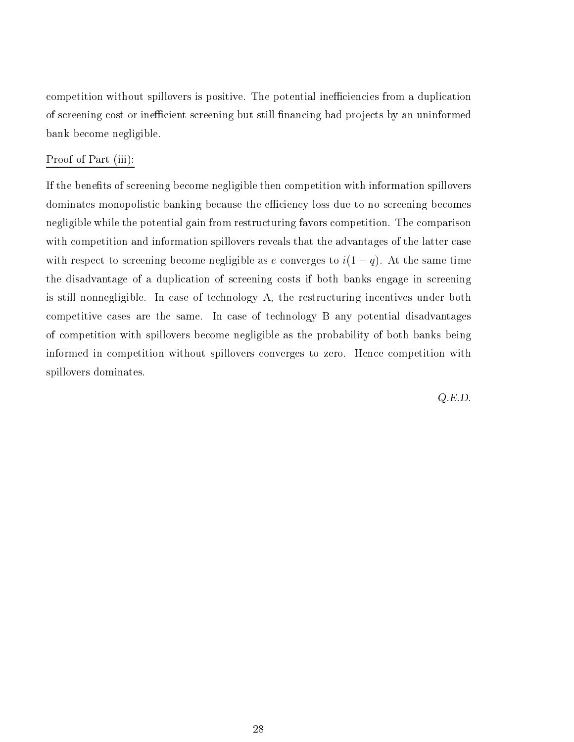competition without spillovers is positive. The potential inefficiencies from a duplication of screening cost or inefficient screening but still financing bad projects by an uninformed bank become negligible.

### Proof of Part (iii):

If the benefits of screening become negligible then competition with information spillovers dominates monopolistic banking because the efficiency loss due to no screening becomes negligible while the potential gain from restructuring favors competition. The comparison with competition and information spillovers reveals that the advantages of the latter case with respect to screening become negligible as e converges to  $i(1 - q)$ . At the same time the disadvantage of a duplication of screening costs if both banks engage in screening is still nonnegligible. In case of technology A, the restructuring incentives under both competitive cases are the same. In case of technology B any potential disadvantages of competition with spillovers become negligible as the probability of both banks being informed in competition without spillovers converges to zero. Hence competition with spillovers dominates.

Q.E.D.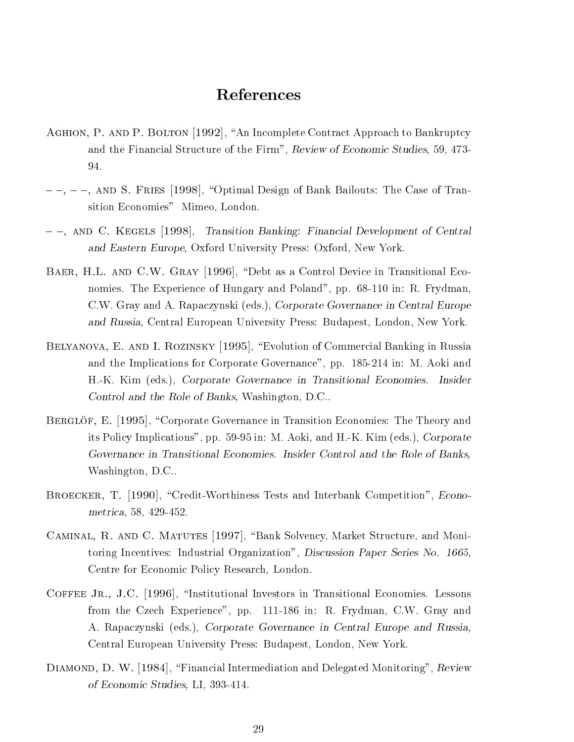## References

- AGHION, P. AND P. BOLTON [1992], "An Incomplete Contract Approach to Bankruptcy and the Financial Structure of the Firm", Review of Economic Studies, 59, 473- 94.
- ${-}$ ,  ${-}$ ,  ${-}$ , AND S. FRIES [1998], "Optimal Design of Bank Bailouts: The Case of Transition Economies" Mimeo, London.
- ${-}$ , AND C. KEGELS [1998], Transition Banking: Financial Development of Central and Eastern Europe, Oxford University Press: Oxford, New York.
- BAER, H.L. AND C.W. GRAY [1996], "Debt as a Control Device in Transitional Economies. The Experience of Hungary and Poland", pp. 68-110 in: R. Frydman, C.W. Gray and A. Rapaczynski (eds.), Corporate Governance in Central Europe and Russia, Central European University Press: Budapest, London, New York.
- BELYANOVA, E. AND I. ROZINSKY [1995], "Evolution of Commercial Banking in Russia and the Implications for Corporate Governance", pp. 185-214 in: M. Aoki and H.-K. Kim (eds.), Corporate Governance in Transitional Economies. Insider Control and the Role of Banks, Washington, D.C..
- BERGLOF, E. [1995], "Corporate Governance in Transition Economies: The Theory and its Policy Implications", pp. 59-95 in: M. Aoki, and H.-K. Kim (eds.), Corporate Governance in Transitional Economies. Insider Control and the Role of Banks, Washington, D.C..
- BROECKER, T. [1990], "Credit-Worthiness Tests and Interbank Competition", Econometrica, 58, 429-452.
- CAMINAL, R. AND C. MATUTES [1997], "Bank Solvency, Market Structure, and Monitoring Incentives: Industrial Organization", Discussion Paper Series No. 1665, Centre for Economic Policy Research, London.
- COFFEE JR., J.C. [1996], "Institutional Investors in Transitional Economies. Lessons from the Czech Experience", pp. 111-186 in: R. Frydman, C.W. Gray and A. Rapaczynski (eds.), Corporate Governance in Central Europe and Russia, Central European University Press: Budapest, London, New York.
- DIAMOND, D. W. [1984], "Financial Intermediation and Delegated Monitoring", Review of Economic Studies, LI, 393-414.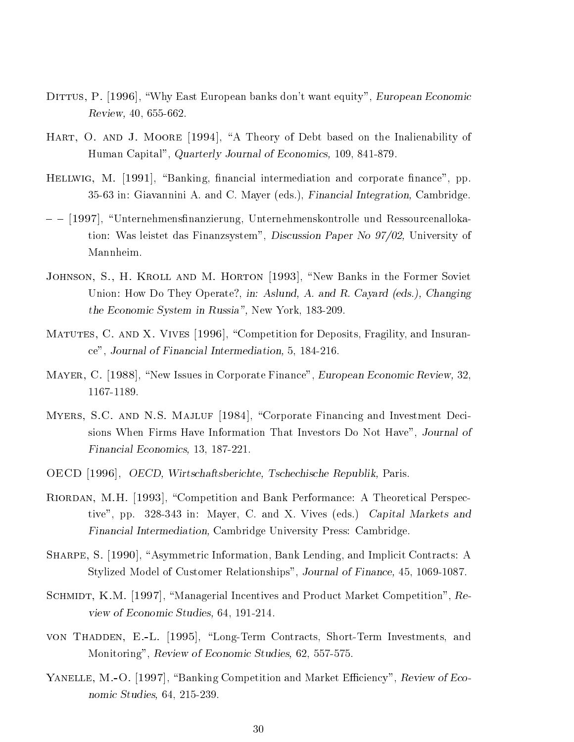- DITTUS, P. [1996], "Why East European banks don't want equity", European Economic Review, 40, 655-662.
- HART, O. AND J. MOORE [1994], "A Theory of Debt based on the Inalienability of Human Capital", Quarterly Journal of Economics, 109, 841-879.
- HELLWIG, M.  $[1991]$ , "Banking, financial intermediation and corporate finance", pp. 35-63 in: Giavannini A. and C. Mayer (eds.), Financial Integration, Cambridge.
- $-$  [1997], "Unternehmensfinanzierung, Unternehmenskontrolle und Ressourcenallokation: Was leistet das Finanzsystem", Discussion Paper No 97/02, University of Mannheim.
- JOHNSON, S., H. KROLL AND M. HORTON [1993], "New Banks in the Former Soviet Union: How Do They Operate?, in: Aslund, A. and R. Cayard (eds.), Changing the Economic System in Russia", New York, 183-209.
- MATUTES, C. AND X. VIVES [1996], "Competition for Deposits, Fragility, and Insurance", Journal of Financial Intermediation, 5, 184-216.
- MAYER, C. [1988], "New Issues in Corporate Finance", European Economic Review, 32, 1167-1189.
- MYERS, S.C. AND N.S. MAJLUF [1984], "Corporate Financing and Investment Decisions When Firms Have Information That Investors Do Not Have", Journal of Financial Economics, 13, 187-221.
- OECD [1996], OECD, Wirtschaftsberichte, Tschechische Republik, Paris.
- RIORDAN, M.H. [1993], "Competition and Bank Performance: A Theoretical Perspective", pp. 328-343 in: Mayer, C. and X. Vives (eds.) Capital Markets and Financial Intermediation, Cambridge University Press: Cambridge.
- SHARPE, S. [1990], "Asymmetric Information, Bank Lending, and Implicit Contracts: A Stylized Model of Customer Relationships", Journal of Finance, 45, 1069-1087.
- SCHMIDT, K.M. [1997], "Managerial Incentives and Product Market Competition", Review of Economic Studies, 64, 191-214.
- von Thadden, E.-L. [1995], "Long-Term Contracts, Short-Term Investments, and Monitoring", Review of Economic Studies, 62, 557-575.
- YANELLE, M.-O. [1997], "Banking Competition and Market Efficiency", Review of Economic Studies, 64, 215-239.